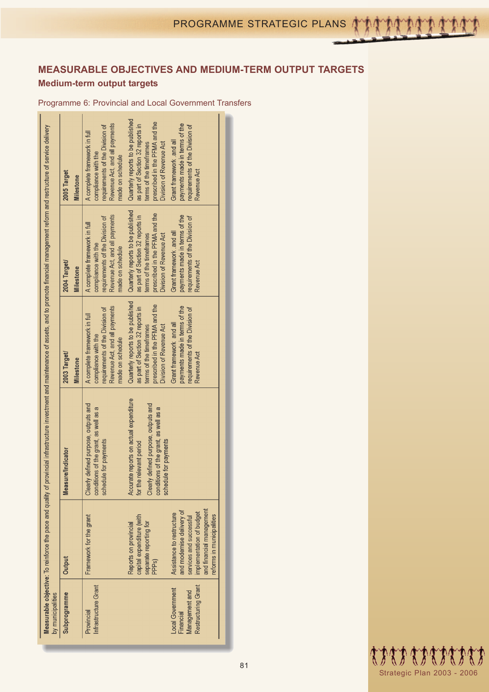# **MEASURABLE OBJECTIVES AND MEDIUM-TERM OUTPUT TARGETS Medium-term output targets**

Programme 6: Provincial and Local Government Transfers

|                                                                                                                                                                                                           | 2005 Target<br><b>Milestone</b>  | Revenue Act, and all payments<br>requirements of the Division of<br>A complete framework in full<br>compliance with the<br>made on schedule | Quarterly reports to be published<br>prescribed in the PFMA and the<br>payments made in terms of the<br>as part of Section 32 reports in<br>requirements of the Division of<br>Grant framework .and all<br>Division of Revenue Act<br>terms of the timeframes<br>Revenue Act        |                                                       |
|-----------------------------------------------------------------------------------------------------------------------------------------------------------------------------------------------------------|----------------------------------|---------------------------------------------------------------------------------------------------------------------------------------------|-------------------------------------------------------------------------------------------------------------------------------------------------------------------------------------------------------------------------------------------------------------------------------------|-------------------------------------------------------|
|                                                                                                                                                                                                           | 2004 Target/<br>Milestone        | Revenue Act, and all payments<br>requirements of the Division of<br>A complete framework in full<br>compliance with the<br>made on schedule | Quarterly reports to be published<br>prescribed in the PFMA and the<br>payments made in terms of the<br>as part of Section 32 reports in<br>requirements of the Division of<br>Grant framework .and all<br>terms of the timeframes<br><b>Division of Revenue Act</b><br>Revenue Act |                                                       |
| Measurable objective: To reinforce the pace and quality of provincial infrastructure investment and maintenance of assets, and to promote financial management reform and restructure of service delivery | 2003 Target/<br><b>Milestone</b> | Revenue Act, and all payments<br>requirements of the Division of<br>A complete framework in full<br>compliance with the<br>made on schedule | Quarterly reports to be published<br>prescribed in the PFMA and the<br>payments made in terms of the<br>as part of Section 32 reports in<br>requirements of the Division of<br>Grant framework and all<br>terms of the timeframes<br>Division of Revenue Act<br>Revenue Act         |                                                       |
|                                                                                                                                                                                                           | <b>Measure/Indicator</b>         | Clearly defined purpose, outputs and<br>conditions of the grant, as well as a<br>schedule for payments                                      | Accurate reports on actual expenditure<br>Clearly defined purpose, outputs and<br>conditions of the grant, as well as a<br>schedule for payments<br>for the relevant period                                                                                                         |                                                       |
|                                                                                                                                                                                                           | Output                           | Framework for the grant                                                                                                                     | and modernise delivery of<br>implementation of budget<br>Assistance to restructure<br>capital expenditure (with<br>services and successful<br>separate reporting for<br>Reports on provincial<br>PPP <sub>S</sub> )                                                                 | and financial management<br>reforms in municipalities |
| by municipalities                                                                                                                                                                                         | Subprogramme                     | Infrastructure Grant<br>Provincial                                                                                                          | Restructuring Grant<br>Local Government<br>Management and<br>Financial                                                                                                                                                                                                              |                                                       |

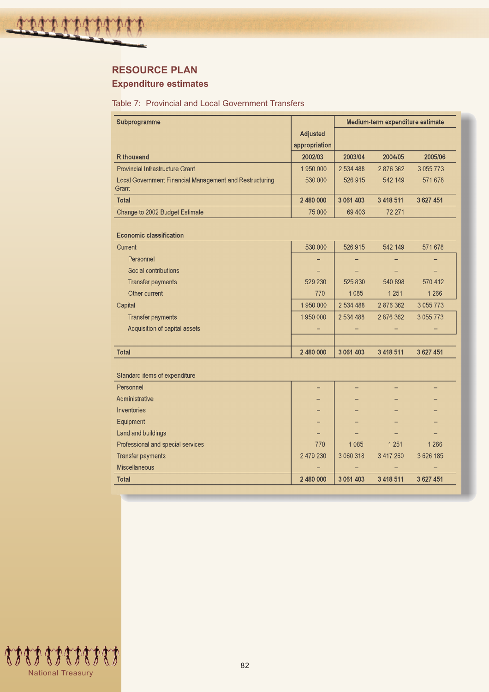# **RESOURCE PLAN**

# **Expenditure estimates**

#### Table 7: Provincial and Local Government Transfers

| Subprogramme                                                     |                 | Medium-term expenditure estimate |           |               |  |
|------------------------------------------------------------------|-----------------|----------------------------------|-----------|---------------|--|
|                                                                  | <b>Adjusted</b> |                                  |           |               |  |
|                                                                  | appropriation   |                                  |           |               |  |
| <b>R</b> thousand                                                | 2002/03         | 2003/04                          | 2004/05   | 2005/06       |  |
| <b>Provincial Infrastructure Grant</b>                           | 1 950 000       | 2 534 488                        | 2876362   | 3 0 5 7 7 7 3 |  |
| Local Government Financial Management and Restructuring<br>Grant | 530 000         | 526 915                          | 542 149   | 571678        |  |
| <b>Total</b>                                                     | 2 480 000       | 3 061 403                        | 3 418 511 | 3 6 27 4 51   |  |
| Change to 2002 Budget Estimate                                   | 75 000          | 69 403                           | 72 271    |               |  |
| <b>Economic classification</b>                                   |                 |                                  |           |               |  |
| Current                                                          | 530 000         | 526 915                          | 542 149   | 571678        |  |
| Personnel                                                        |                 |                                  |           |               |  |
| Social contributions                                             |                 |                                  |           |               |  |
| <b>Transfer payments</b>                                         | 529 230         | 525 830                          | 540 898   | 570 412       |  |
| Other current                                                    | 770             | 1085                             | 1 2 5 1   | 1 2 6 6       |  |
| Capital                                                          | 1 950 000       | 2 534 488                        | 2 876 362 | 3 0 5 7 7 7 3 |  |
| <b>Transfer payments</b>                                         | 1950000         | 2 534 488                        | 2 876 362 | 3 0 5 7 7 7 3 |  |
| Acquisition of capital assets                                    |                 |                                  |           |               |  |
|                                                                  |                 |                                  |           |               |  |
| Total                                                            | 2 480 000       | 3 061 403                        | 3 418 511 | 3 627 451     |  |
| Standard items of expenditure                                    |                 |                                  |           |               |  |
| Personnel                                                        |                 |                                  |           |               |  |
| Administrative                                                   |                 |                                  |           |               |  |
| Inventories                                                      |                 |                                  |           |               |  |
| Equipment                                                        |                 |                                  |           |               |  |
| Land and buildings                                               |                 |                                  |           |               |  |
| Professional and special services                                | 770             | 1 0 8 5                          | 1 2 5 1   | 1 2 6 6       |  |
| <b>Transfer payments</b>                                         | 2 479 230       | 3 060 318                        | 3 417 260 | 3 626 185     |  |
| Miscellaneous                                                    |                 |                                  |           |               |  |
| Total                                                            | 2 480 000       | 3 061 403                        | 3 418 511 | 3 627 451     |  |

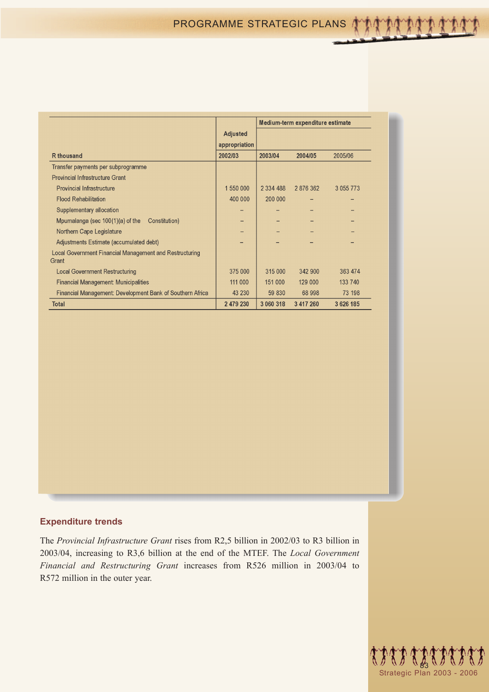|                                                                  |                 | Medium-term expenditure estimate |           |               |
|------------------------------------------------------------------|-----------------|----------------------------------|-----------|---------------|
|                                                                  | <b>Adjusted</b> |                                  |           |               |
|                                                                  | appropriation   |                                  |           |               |
| <b>R</b> thousand                                                | 2002/03         | 2003/04                          | 2004/05   | 2005/06       |
| Transfer payments per subprogramme                               |                 |                                  |           |               |
| <b>Provincial Infrastructure Grant</b>                           |                 |                                  |           |               |
| <b>Provincial Infrastructure</b>                                 | 1 550 000       | 2 3 3 4 4 8 8                    | 2 876 362 | 3 0 5 5 7 7 3 |
| <b>Flood Rehabilitation</b>                                      | 400 000         | 200 000                          |           |               |
| Supplementary allocation                                         |                 |                                  |           |               |
| Mpumalanga (sec 100(1)(a) of the<br>Constitution)                |                 |                                  |           |               |
| Northern Cape Legislature                                        |                 |                                  |           |               |
| Adjustments Estimate (accumulated debt)                          |                 |                                  |           |               |
| Local Government Financial Management and Restructuring<br>Grant |                 |                                  |           |               |
| <b>Local Government Restructuring</b>                            | 375 000         | 315 000                          | 342 900   | 363 474       |
| <b>Financial Management: Municipalities</b>                      | 111 000         | 151 000                          | 129 000   | 133 740       |
| Financial Management: Development Bank of Southern Africa        | 43 230          | 59 830                           | 68 998    | 73 198        |
| Total                                                            | 2 479 230       | 3 060 318                        | 3 417 260 | 3626185       |

## **Expenditure trends**

The *Provincial Infrastructure Grant* rises from R2,5 billion in 2002/03 to R3 billion in 2003/04, increasing to R3,6 billion at the end of the MTEF. The *Local Government Financial and Restructuring Grant* increases from R526 million in 2003/04 to R572 million in the outer year.

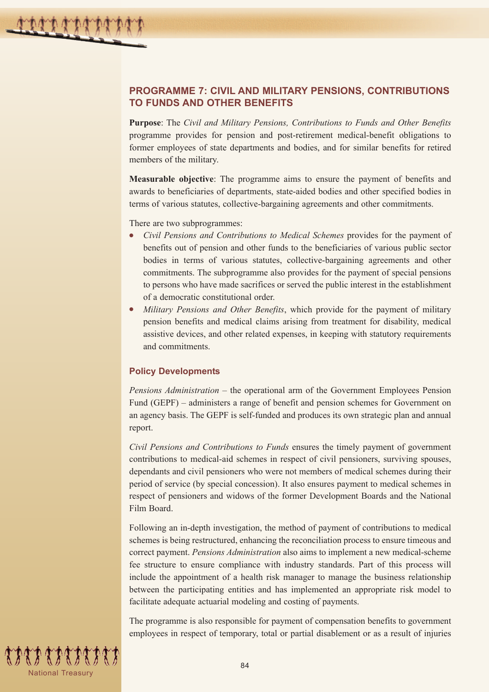# **PROGRAMME 7: CIVIL AND MILITARY PENSIONS, CONTRIBUTIONS TO FUNDS AND OTHER BENEFITS**

**Purpose**: The *Civil and Military Pensions, Contributions to Funds and Other Benefits* programme provides for pension and post-retirement medical-benefit obligations to former employees of state departments and bodies, and for similar benefits for retired members of the military.

**Measurable objective**: The programme aims to ensure the payment of benefits and awards to beneficiaries of departments, state-aided bodies and other specified bodies in terms of various statutes, collective-bargaining agreements and other commitments.

There are two subprogrammes:

- *Civil Pensions and Contributions to Medical Schemes* provides for the payment of benefits out of pension and other funds to the beneficiaries of various public sector bodies in terms of various statutes, collective-bargaining agreements and other commitments. The subprogramme also provides for the payment of special pensions to persons who have made sacrifices or served the public interest in the establishment of a democratic constitutional order.
- *Military Pensions and Other Benefits*, which provide for the payment of military pension benefits and medical claims arising from treatment for disability, medical assistive devices, and other related expenses, in keeping with statutory requirements and commitments.

#### **Policy Developments**

*Pensions Administration* – the operational arm of the Government Employees Pension Fund (GEPF) – administers a range of benefit and pension schemes for Government on an agency basis. The GEPF is self-funded and produces its own strategic plan and annual report.

*Civil Pensions and Contributions to Funds* ensures the timely payment of government contributions to medical-aid schemes in respect of civil pensioners, surviving spouses, dependants and civil pensioners who were not members of medical schemes during their period of service (by special concession). It also ensures payment to medical schemes in respect of pensioners and widows of the former Development Boards and the National Film Board.

Following an in-depth investigation, the method of payment of contributions to medical schemes is being restructured, enhancing the reconciliation process to ensure timeous and correct payment. *Pensions Administration* also aims to implement a new medical-scheme fee structure to ensure compliance with industry standards. Part of this process will include the appointment of a health risk manager to manage the business relationship between the participating entities and has implemented an appropriate risk model to facilitate adequate actuarial modeling and costing of payments.

The programme is also responsible for payment of compensation benefits to government employees in respect of temporary, total or partial disablement or as a result of injuries

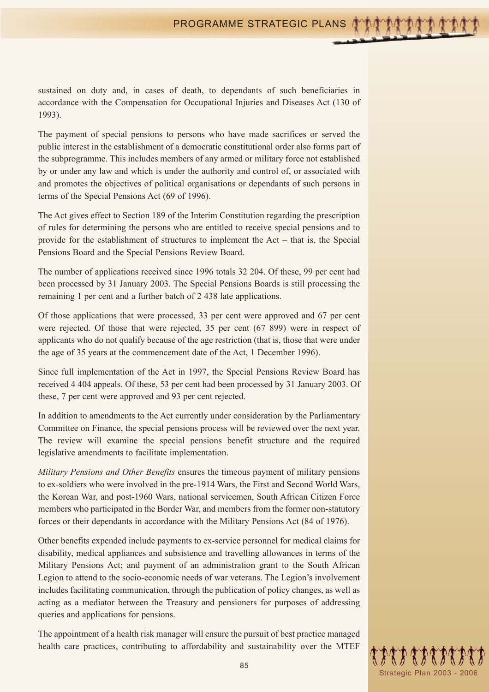sustained on duty and, in cases of death, to dependants of such beneficiaries in accordance with the Compensation for Occupational Injuries and Diseases Act (130 of 1993).

The payment of special pensions to persons who have made sacrifices or served the public interest in the establishment of a democratic constitutional order also forms part of the subprogramme. This includes members of any armed or military force not established by or under any law and which is under the authority and control of, or associated with and promotes the objectives of political organisations or dependants of such persons in terms of the Special Pensions Act (69 of 1996).

The Act gives effect to Section 189 of the Interim Constitution regarding the prescription of rules for determining the persons who are entitled to receive special pensions and to provide for the establishment of structures to implement the Act – that is, the Special Pensions Board and the Special Pensions Review Board.

The number of applications received since 1996 totals 32 204. Of these, 99 per cent had been processed by 31 January 2003. The Special Pensions Boards is still processing the remaining 1 per cent and a further batch of 2 438 late applications.

Of those applications that were processed, 33 per cent were approved and 67 per cent were rejected. Of those that were rejected, 35 per cent (67 899) were in respect of applicants who do not qualify because of the age restriction (that is, those that were under the age of 35 years at the commencement date of the Act, 1 December 1996).

Since full implementation of the Act in 1997, the Special Pensions Review Board has received 4 404 appeals. Of these, 53 per cent had been processed by 31 January 2003. Of these, 7 per cent were approved and 93 per cent rejected.

In addition to amendments to the Act currently under consideration by the Parliamentary Committee on Finance, the special pensions process will be reviewed over the next year. The review will examine the special pensions benefit structure and the required legislative amendments to facilitate implementation.

*Military Pensions and Other Benefits* ensures the timeous payment of military pensions to ex-soldiers who were involved in the pre-1914 Wars, the First and Second World Wars, the Korean War, and post-1960 Wars, national servicemen, South African Citizen Force members who participated in the Border War, and members from the former non-statutory forces or their dependants in accordance with the Military Pensions Act (84 of 1976).

Other benefits expended include payments to ex-service personnel for medical claims for disability, medical appliances and subsistence and travelling allowances in terms of the Military Pensions Act; and payment of an administration grant to the South African Legion to attend to the socio-economic needs of war veterans. The Legion's involvement includes facilitating communication, through the publication of policy changes, as well as acting as a mediator between the Treasury and pensioners for purposes of addressing queries and applications for pensions.

The appointment of a health risk manager will ensure the pursuit of best practice managed health care practices, contributing to affordability and sustainability over the MTEF

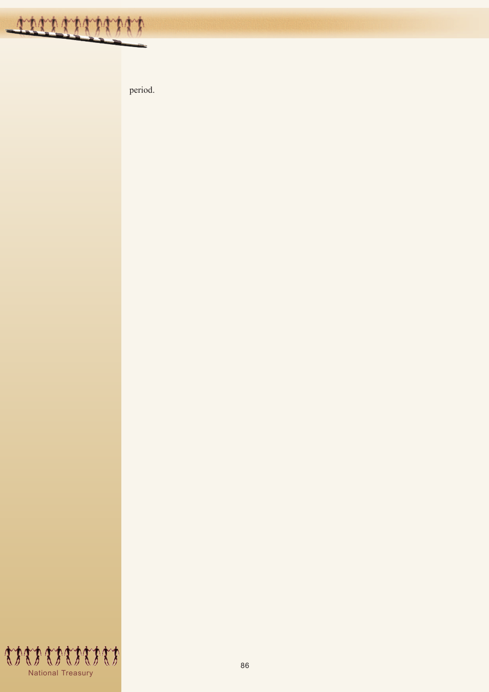

period.

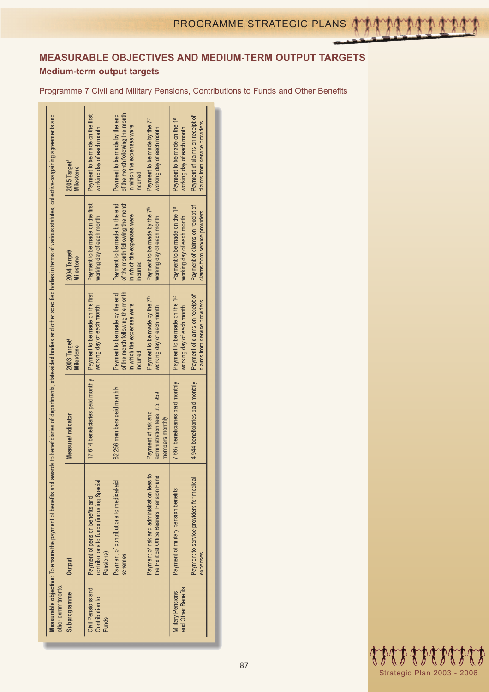# **MEASURABLE OBJECTIVES AND MEDIUM-TERM OUTPUT TARGETS**

# **Medium-term output targets**

Programme 7 Civil and Military Pensions, Contributions to Funds and Other Benefits

|                                                                                                                                                                                                                      | 2005 Target/<br>Milestone | Payment to be made on the first<br>working day of each month                              | of the month following the month<br>Payment to be made by the end<br>in which the expenses were<br><b>Incurred</b> | Payment to be made by the 7 <sup>th</sup><br>working day of each month                   | Payment to be made on the 1 <sup>st</sup><br>working day of each month | Payment of claims on receipt of<br>claims from service providers |  |
|----------------------------------------------------------------------------------------------------------------------------------------------------------------------------------------------------------------------|---------------------------|-------------------------------------------------------------------------------------------|--------------------------------------------------------------------------------------------------------------------|------------------------------------------------------------------------------------------|------------------------------------------------------------------------|------------------------------------------------------------------|--|
|                                                                                                                                                                                                                      | 2004 Target/<br>Milestone | Payment to be made on the first<br>working day of each month                              | of the month following the month<br>Payment to be made by the end<br>in which the expenses were<br><b>Incurred</b> | Payment to be made by the 7 <sup>th</sup><br>working day of each month                   | Payment to be made on the 1 <sup>st</sup><br>working day of each month | Payment of claims on recept of<br>claims from service providers  |  |
|                                                                                                                                                                                                                      | 2003 Target/<br>Milestone | Payment to be made on the first<br>working day of each month                              | of the month following the month<br>Payment to be made by the end<br>in which the expenses were<br><b>incurred</b> | Payment to be made by the 7 <sup>th</sup><br>working day of each month                   | Payment to be made on the 1 <sup>st</sup><br>working day of each month | Payment of claims on receipt of<br>claims from service providers |  |
|                                                                                                                                                                                                                      | <b>Measure/Indicator</b>  | 17 614 beneficiaries paid monthly                                                         | 82 256 members paid monthly                                                                                        | administration fees i.r.o. 959<br>Payment of risk and<br>members monthly                 | 7 667 beneficiaries paid monthly                                       | 4 944 beneficiaries paid monthly                                 |  |
| Measurable objective: To ensure the payment of benefits and awards to beneficiaries of departments, state-aided bodies and other specified bodies in terms of various statutes, collective-bargaining agreements and | Output                    | contributions to funds (including Special<br>Payment of pension benefits and<br>Pensions) | Payment of contributions to medical-aid<br>schemes                                                                 | Payment of risk and administration fees to<br>the Political Office Bearers' Pension Fund | Payment of military pension benefits                                   | Payment to service providers for medical<br>expenses             |  |
| other commitments.                                                                                                                                                                                                   | Subprogramme              | Civil Pensions and<br>Contribution to<br><b>Funds</b>                                     |                                                                                                                    |                                                                                          | and Other Benefits<br><b>Military Pensions</b>                         |                                                                  |  |

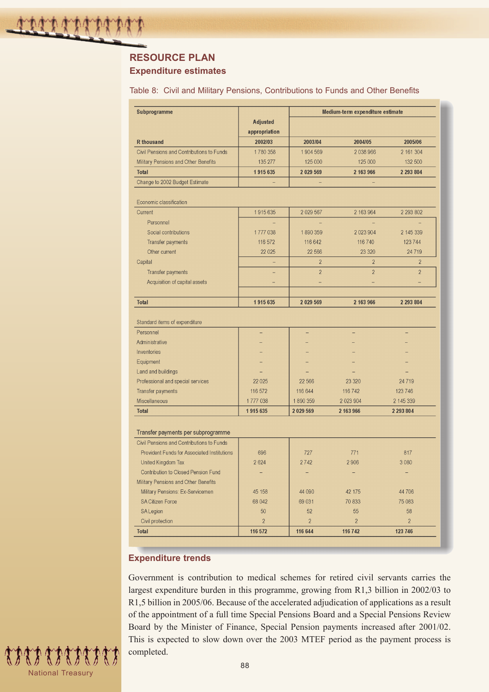# **RESOURCE PLAN**

# **Expenditure estimates**

| Table 8: Civil and Military Pensions, Contributions to Funds and Other Benefits |  |  |  |  |
|---------------------------------------------------------------------------------|--|--|--|--|
|---------------------------------------------------------------------------------|--|--|--|--|

| Subprogramme                                | Medium-term expenditure estimate |                |                |                |  |  |
|---------------------------------------------|----------------------------------|----------------|----------------|----------------|--|--|
|                                             | <b>Adjusted</b>                  |                |                |                |  |  |
|                                             | appropriation                    |                |                |                |  |  |
| <b>R</b> thousand                           | 2002/03                          | 2003/04        | 2004/05        | 2005/06        |  |  |
| Civil Pensions and Contributions to Funds   | 1780 358                         | 1904569        | 2038966        | 2 161 304      |  |  |
| Military Pensions and Other Benefits        | 135 277                          | 125 000        | 125 000        | 132 500        |  |  |
| <b>Total</b>                                | 1915635                          | 2 029 569      | 2 163 966      | 2 293 804      |  |  |
| Change to 2002 Budget Estimate              |                                  |                |                |                |  |  |
|                                             |                                  |                |                |                |  |  |
| Economic classification                     |                                  |                |                |                |  |  |
| Current                                     | 1915635                          | 2 0 29 5 67    | 2 163 964      | 2 293 802      |  |  |
| Personnel                                   |                                  |                |                |                |  |  |
| Social contributions                        | 1777038                          | 1890359        | 2 0 2 3 9 0 4  | 2 145 339      |  |  |
| Transfer payments                           | 116 572                          | 116 642        | 116 740        | 123744         |  |  |
| Other current                               | 22 0 25                          | 22 566         | 23 3 20        | 24 7 19        |  |  |
| Capital                                     |                                  | $\overline{2}$ | $\overline{2}$ | $\overline{2}$ |  |  |
| <b>Transfer payments</b>                    |                                  | $\overline{2}$ | $\overline{2}$ | $\overline{2}$ |  |  |
| Acquisition of capital assets               |                                  |                |                |                |  |  |
|                                             |                                  |                |                |                |  |  |
| <b>Total</b>                                | 1915635                          | 2 0 29 5 69    | 2 163 966      | 2 293 804      |  |  |
|                                             |                                  |                |                |                |  |  |
| Standard items of expenditure               |                                  |                |                |                |  |  |
| Personnel                                   |                                  |                |                |                |  |  |
| Administrative                              |                                  |                |                |                |  |  |
| Inventories                                 |                                  |                |                |                |  |  |
| Equipment                                   |                                  |                |                |                |  |  |
| Land and buildings                          |                                  |                |                |                |  |  |
| Professional and special services           | 22 0 25                          | 22 5 66        | 23 3 20        | 24 7 19        |  |  |
| Transfer payments                           | 116 572                          | 116 644        | 116 742        | 123 746        |  |  |
| Miscellaneous                               | 1777038                          | 1890359        | 2 023 904      | 2 145 339      |  |  |
| <b>Total</b>                                | 1915 635                         | 2029 569       | 2 163 966      | 2 2 9 3 8 0 4  |  |  |
|                                             |                                  |                |                |                |  |  |
| Transfer payments per subprogramme          |                                  |                |                |                |  |  |
| Civil Pensions and Contributions to Funds   |                                  |                |                |                |  |  |
| Provident Funds for Associated Institutions | 696                              | 727            | 771            | 817            |  |  |
| United Kingdom Tax                          | 2 6 2 4                          | 2742           | 2906           | 3 0 8 0        |  |  |
| Contribution to Closed Pension Fund         |                                  |                |                |                |  |  |
| Military Pensions and Other Benefits        |                                  |                |                |                |  |  |
| Military Pensions: Ex-Servicemen            | 45 158                           | 44 090         | 42 175         | 44 70 6        |  |  |
| <b>SA Citizen Force</b>                     | 68 042                           | 69 031         | 70 833         | 75 083         |  |  |
| <b>SA Legion</b>                            | 50                               | 52             | 55             | 58             |  |  |
| Civil protection                            | $\overline{2}$                   | $\overline{2}$ | $\overline{2}$ | $\overline{2}$ |  |  |
|                                             |                                  |                |                |                |  |  |

## **Expenditure trends**

Government is contribution to medical schemes for retired civil servants carries the largest expenditure burden in this programme, growing from R1,3 billion in 2002/03 to R1,5 billion in 2005/06. Because of the accelerated adjudication of applications as a result of the appointment of a full time Special Pensions Board and a Special Pensions Review Board by the Minister of Finance, Special Pension payments increased after 2001/02. This is expected to slow down over the 2003 MTEF period as the payment process is completed.

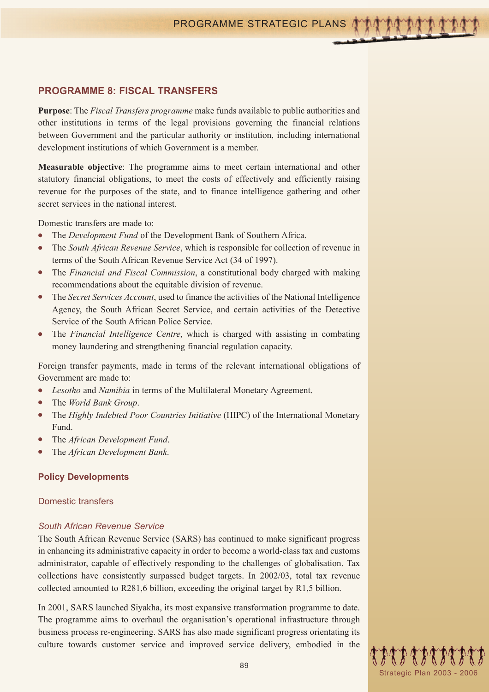## **PROGRAMME 8: FISCAL TRANSFERS**

**Purpose**: The *Fiscal Transfers programme* make funds available to public authorities and other institutions in terms of the legal provisions governing the financial relations between Government and the particular authority or institution, including international development institutions of which Government is a member.

**Measurable objective**: The programme aims to meet certain international and other statutory financial obligations, to meet the costs of effectively and efficiently raising revenue for the purposes of the state, and to finance intelligence gathering and other secret services in the national interest.

Domestic transfers are made to:

- The *Development Fund* of the Development Bank of Southern Africa.
- The *South African Revenue Service*, which is responsible for collection of revenue in terms of the South African Revenue Service Act (34 of 1997).
- The *Financial and Fiscal Commission*, a constitutional body charged with making recommendations about the equitable division of revenue.
- The *Secret Services Account*, used to finance the activities of the National Intelligence Agency, the South African Secret Service, and certain activities of the Detective Service of the South African Police Service.
- The *Financial Intelligence Centre*, which is charged with assisting in combating money laundering and strengthening financial regulation capacity.

Foreign transfer payments, made in terms of the relevant international obligations of Government are made to:

- *Lesotho* and *Namibia* in terms of the Multilateral Monetary Agreement.
- The *World Bank Group*.
- The *Highly Indebted Poor Countries Initiative* (HIPC) of the International Monetary Fund.
- The *African Development Fund*.
- The *African Development Bank*.

#### **Policy Developments**

#### Domestic transfers

#### *South African Revenue Service*

The South African Revenue Service (SARS) has continued to make significant progress in enhancing its administrative capacity in order to become a world-class tax and customs administrator, capable of effectively responding to the challenges of globalisation. Tax collections have consistently surpassed budget targets. In 2002/03, total tax revenue collected amounted to R281,6 billion, exceeding the original target by R1,5 billion.

In 2001, SARS launched Siyakha, its most expansive transformation programme to date. The programme aims to overhaul the organisation's operational infrastructure through business process re-engineering. SARS has also made significant progress orientating its culture towards customer service and improved service delivery, embodied in the

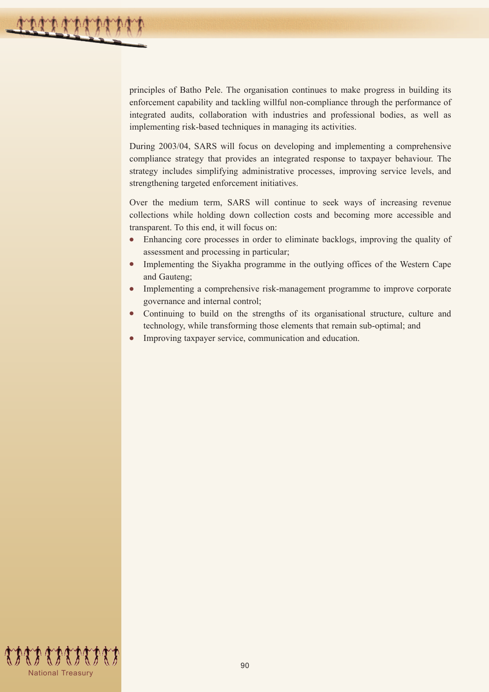principles of Batho Pele. The organisation continues to make progress in building its enforcement capability and tackling willful non-compliance through the performance of integrated audits, collaboration with industries and professional bodies, as well as implementing risk-based techniques in managing its activities.

During 2003/04, SARS will focus on developing and implementing a comprehensive compliance strategy that provides an integrated response to taxpayer behaviour. The strategy includes simplifying administrative processes, improving service levels, and strengthening targeted enforcement initiatives.

Over the medium term, SARS will continue to seek ways of increasing revenue collections while holding down collection costs and becoming more accessible and transparent. To this end, it will focus on:

- Enhancing core processes in order to eliminate backlogs, improving the quality of assessment and processing in particular;
- Implementing the Siyakha programme in the outlying offices of the Western Cape and Gauteng;
- Implementing a comprehensive risk-management programme to improve corporate governance and internal control;
- Continuing to build on the strengths of its organisational structure, culture and technology, while transforming those elements that remain sub-optimal; and
- Improving taxpayer service, communication and education.

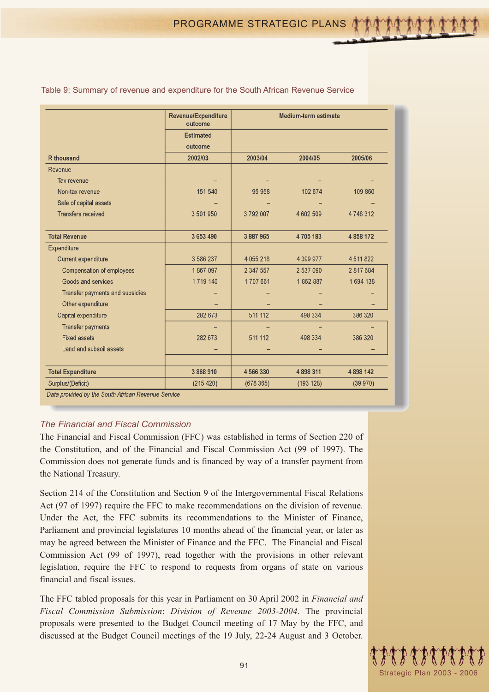|                                 | Revenue/Expenditure<br>outcome |               | <b>Medium-term estimate</b> |             |
|---------------------------------|--------------------------------|---------------|-----------------------------|-------------|
|                                 | <b>Estimated</b>               |               |                             |             |
|                                 | outcome                        |               |                             |             |
| <b>R</b> thousand               | 2002/03                        | 2003/04       | 2004/05                     | 2005/06     |
| Revenue                         |                                |               |                             |             |
| Tax revenue                     |                                |               |                             |             |
| Non-tax revenue                 | 151 540                        | 95 958        | 102 674                     | 109 860     |
| Sale of capital assets          |                                |               |                             |             |
| <b>Transfers received</b>       | 3 501 950                      | 3792007       | 4 602 509                   | 4748312     |
| <b>Total Revenue</b>            | 3 653 490                      | 3 887 965     | 4705183                     | 4 858 172   |
| Expenditure                     |                                |               |                             |             |
| <b>Current expenditure</b>      | 3 586 237                      | 4 0 5 5 2 1 8 | 4 3 9 9 9 7 7               | 4511822     |
| Compensation of employees       | 1867097                        | 2 347 557     | 2 537 090                   | 2 817 684   |
| Goods and services              | 1719 140                       | 1707661       | 1862887                     | 1694 138    |
| Transfer payments and subsidies |                                |               |                             |             |
| Other expenditure               |                                |               |                             |             |
| Capital expenditure             | 282 673                        | 511 112       | 498 334                     | 386 320     |
| <b>Transfer payments</b>        |                                |               |                             |             |
| <b>Fixed assets</b>             | 282 673                        | 511 112       | 498 334                     | 386 320     |
| Land and subsoil assets         |                                |               |                             |             |
| <b>Total Expenditure</b>        | 3868910                        | 4566330       | 4898311                     | 4 8 98 14 2 |
| Surplus/(Deficit)               | (215 420)                      | (678365)      | (193 128)                   | (39970)     |

Table 9: Summary of revenue and expenditure for the South African Revenue Service

## *The Financial and Fiscal Commission*

The Financial and Fiscal Commission (FFC) was established in terms of Section 220 of the Constitution, and of the Financial and Fiscal Commission Act (99 of 1997). The Commission does not generate funds and is financed by way of a transfer payment from the National Treasury.

Section 214 of the Constitution and Section 9 of the Intergovernmental Fiscal Relations Act (97 of 1997) require the FFC to make recommendations on the division of revenue. Under the Act, the FFC submits its recommendations to the Minister of Finance, Parliament and provincial legislatures 10 months ahead of the financial year, or later as may be agreed between the Minister of Finance and the FFC. The Financial and Fiscal Commission Act (99 of 1997), read together with the provisions in other relevant legislation, require the FFC to respond to requests from organs of state on various financial and fiscal issues.

The FFC tabled proposals for this year in Parliament on 30 April 2002 in *Financial and Fiscal Commission Submission*: *Division of Revenue 2003*-*2004*. The provincial proposals were presented to the Budget Council meeting of 17 May by the FFC, and discussed at the Budget Council meetings of the 19 July, 22-24 August and 3 October.

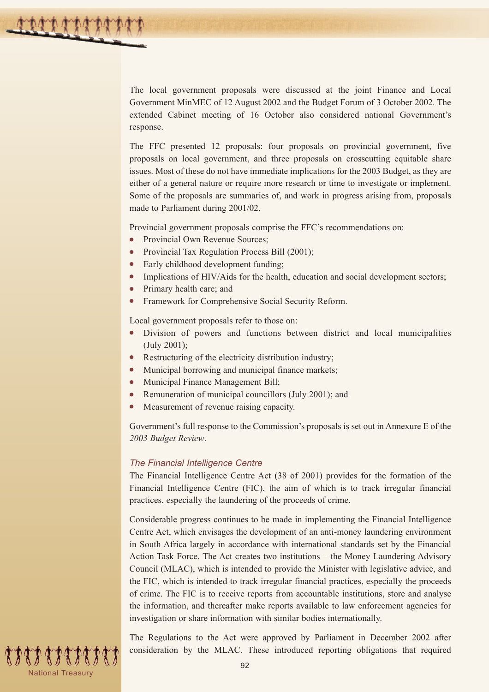The local government proposals were discussed at the joint Finance and Local Government MinMEC of 12 August 2002 and the Budget Forum of 3 October 2002. The extended Cabinet meeting of 16 October also considered national Government's response.

The FFC presented 12 proposals: four proposals on provincial government, five proposals on local government, and three proposals on crosscutting equitable share issues. Most of these do not have immediate implications for the 2003 Budget, as they are either of a general nature or require more research or time to investigate or implement. Some of the proposals are summaries of, and work in progress arising from, proposals made to Parliament during 2001/02.

Provincial government proposals comprise the FFC's recommendations on:

- Provincial Own Revenue Sources;
- Provincial Tax Regulation Process Bill (2001);
- Early childhood development funding;
- Implications of HIV/Aids for the health, education and social development sectors;
- Primary health care; and
- Framework for Comprehensive Social Security Reform.

Local government proposals refer to those on:

- Division of powers and functions between district and local municipalities (July 2001);
- Restructuring of the electricity distribution industry;
- Municipal borrowing and municipal finance markets;
- Municipal Finance Management Bill;
- Remuneration of municipal councillors (July 2001); and
- Measurement of revenue raising capacity.

Government's full response to the Commission's proposals is set out in Annexure E of the *2003 Budget Review*.

#### *The Financial Intelligence Centre*

The Financial Intelligence Centre Act (38 of 2001) provides for the formation of the Financial Intelligence Centre (FIC), the aim of which is to track irregular financial practices, especially the laundering of the proceeds of crime.

Considerable progress continues to be made in implementing the Financial Intelligence Centre Act, which envisages the development of an anti-money laundering environment in South Africa largely in accordance with international standards set by the Financial Action Task Force. The Act creates two institutions – the Money Laundering Advisory Council (MLAC), which is intended to provide the Minister with legislative advice, and the FIC, which is intended to track irregular financial practices, especially the proceeds of crime. The FIC is to receive reports from accountable institutions, store and analyse the information, and thereafter make reports available to law enforcement agencies for investigation or share information with similar bodies internationally.

The Regulations to the Act were approved by Parliament in December 2002 after consideration by the MLAC. These introduced reporting obligations that required

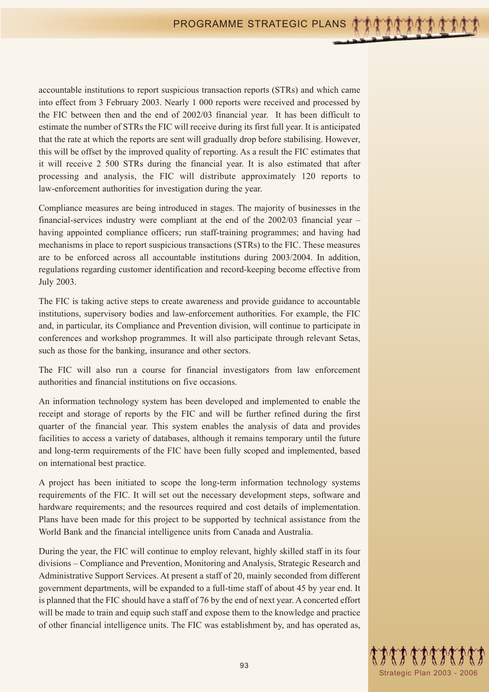accountable institutions to report suspicious transaction reports (STRs) and which came into effect from 3 February 2003. Nearly 1 000 reports were received and processed by the FIC between then and the end of 2002/03 financial year. It has been difficult to estimate the number of STRs the FIC will receive during its first full year. It is anticipated that the rate at which the reports are sent will gradually drop before stabilising. However, this will be offset by the improved quality of reporting. As a result the FIC estimates that it will receive 2 500 STRs during the financial year. It is also estimated that after processing and analysis, the FIC will distribute approximately 120 reports to law-enforcement authorities for investigation during the year.

Compliance measures are being introduced in stages. The majority of businesses in the financial-services industry were compliant at the end of the 2002/03 financial year – having appointed compliance officers; run staff-training programmes; and having had mechanisms in place to report suspicious transactions (STRs) to the FIC. These measures are to be enforced across all accountable institutions during 2003/2004. In addition, regulations regarding customer identification and record-keeping become effective from July 2003.

The FIC is taking active steps to create awareness and provide guidance to accountable institutions, supervisory bodies and law-enforcement authorities. For example, the FIC and, in particular, its Compliance and Prevention division, will continue to participate in conferences and workshop programmes. It will also participate through relevant Setas, such as those for the banking, insurance and other sectors.

The FIC will also run a course for financial investigators from law enforcement authorities and financial institutions on five occasions.

An information technology system has been developed and implemented to enable the receipt and storage of reports by the FIC and will be further refined during the first quarter of the financial year. This system enables the analysis of data and provides facilities to access a variety of databases, although it remains temporary until the future and long-term requirements of the FIC have been fully scoped and implemented, based on international best practice.

A project has been initiated to scope the long-term information technology systems requirements of the FIC. It will set out the necessary development steps, software and hardware requirements; and the resources required and cost details of implementation. Plans have been made for this project to be supported by technical assistance from the World Bank and the financial intelligence units from Canada and Australia.

During the year, the FIC will continue to employ relevant, highly skilled staff in its four divisions – Compliance and Prevention, Monitoring and Analysis, Strategic Research and Administrative Support Services. At present a staff of 20, mainly seconded from different government departments, will be expanded to a full-time staff of about 45 by year end. It is planned that the FIC should have a staff of 76 by the end of next year. A concerted effort will be made to train and equip such staff and expose them to the knowledge and practice of other financial intelligence units. The FIC was establishment by, and has operated as,

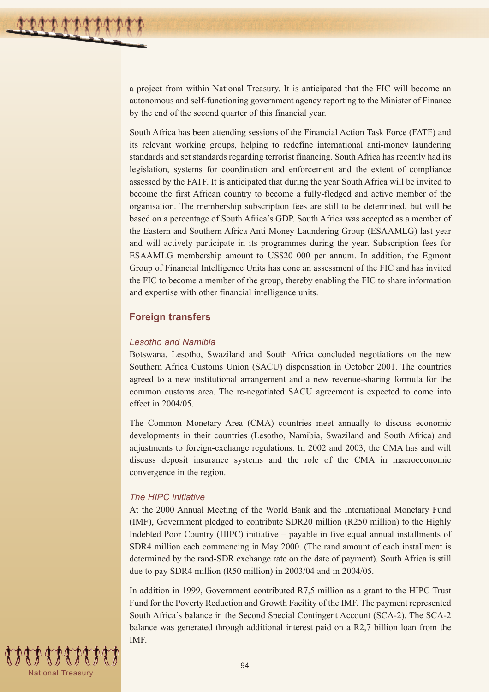a project from within National Treasury. It is anticipated that the FIC will become an autonomous and self-functioning government agency reporting to the Minister of Finance by the end of the second quarter of this financial year.

South Africa has been attending sessions of the Financial Action Task Force (FATF) and its relevant working groups, helping to redefine international anti-money laundering standards and set standards regarding terrorist financing. South Africa has recently had its legislation, systems for coordination and enforcement and the extent of compliance assessed by the FATF. It is anticipated that during the year South Africa will be invited to become the first African country to become a fully-fledged and active member of the organisation. The membership subscription fees are still to be determined, but will be based on a percentage of South Africa's GDP. South Africa was accepted as a member of the Eastern and Southern Africa Anti Money Laundering Group (ESAAMLG) last year and will actively participate in its programmes during the year. Subscription fees for ESAAMLG membership amount to US\$20 000 per annum. In addition, the Egmont Group of Financial Intelligence Units has done an assessment of the FIC and has invited the FIC to become a member of the group, thereby enabling the FIC to share information and expertise with other financial intelligence units.

## **Foreign transfers**

#### *Lesotho and Namibia*

Botswana, Lesotho, Swaziland and South Africa concluded negotiations on the new Southern Africa Customs Union (SACU) dispensation in October 2001. The countries agreed to a new institutional arrangement and a new revenue-sharing formula for the common customs area. The re-negotiated SACU agreement is expected to come into effect in 2004/05.

The Common Monetary Area (CMA) countries meet annually to discuss economic developments in their countries (Lesotho, Namibia, Swaziland and South Africa) and adjustments to foreign-exchange regulations. In 2002 and 2003, the CMA has and will discuss deposit insurance systems and the role of the CMA in macroeconomic convergence in the region.

#### *The HIPC initiative*

At the 2000 Annual Meeting of the World Bank and the International Monetary Fund (IMF), Government pledged to contribute SDR20 million (R250 million) to the Highly Indebted Poor Country (HIPC) initiative – payable in five equal annual installments of SDR4 million each commencing in May 2000. (The rand amount of each installment is determined by the rand-SDR exchange rate on the date of payment). South Africa is still due to pay SDR4 million (R50 million) in 2003/04 and in 2004/05.

In addition in 1999, Government contributed R7,5 million as a grant to the HIPC Trust Fund for the Poverty Reduction and Growth Facility of the IMF. The payment represented South Africa's balance in the Second Special Contingent Account (SCA-2). The SCA-2 balance was generated through additional interest paid on a R2,7 billion loan from the IMF.

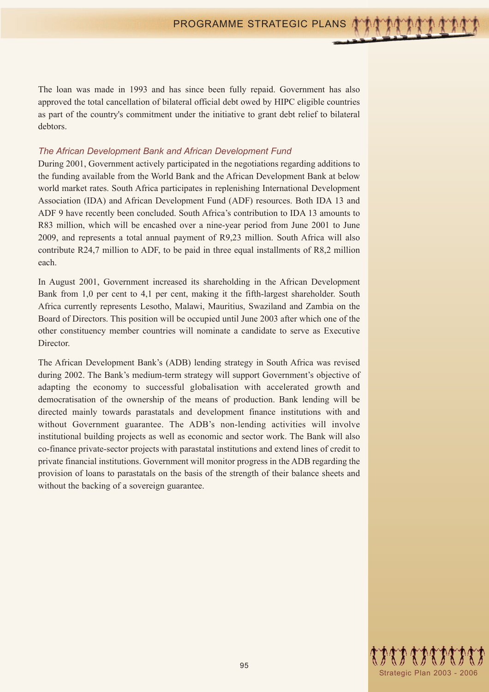The loan was made in 1993 and has since been fully repaid. Government has also approved the total cancellation of bilateral official debt owed by HIPC eligible countries as part of the country's commitment under the initiative to grant debt relief to bilateral debtors.

#### *The African Development Bank and African Development Fund*

During 2001, Government actively participated in the negotiations regarding additions to the funding available from the World Bank and the African Development Bank at below world market rates. South Africa participates in replenishing International Development Association (IDA) and African Development Fund (ADF) resources. Both IDA 13 and ADF 9 have recently been concluded. South Africa's contribution to IDA 13 amounts to R83 million, which will be encashed over a nine-year period from June 2001 to June 2009, and represents a total annual payment of R9,23 million. South Africa will also contribute R24,7 million to ADF, to be paid in three equal installments of R8,2 million each.

In August 2001, Government increased its shareholding in the African Development Bank from 1,0 per cent to 4,1 per cent, making it the fifth-largest shareholder. South Africa currently represents Lesotho, Malawi, Mauritius, Swaziland and Zambia on the Board of Directors. This position will be occupied until June 2003 after which one of the other constituency member countries will nominate a candidate to serve as Executive Director.

The African Development Bank's (ADB) lending strategy in South Africa was revised during 2002. The Bank's medium-term strategy will support Government's objective of adapting the economy to successful globalisation with accelerated growth and democratisation of the ownership of the means of production. Bank lending will be directed mainly towards parastatals and development finance institutions with and without Government guarantee. The ADB's non-lending activities will involve institutional building projects as well as economic and sector work. The Bank will also co-finance private-sector projects with parastatal institutions and extend lines of credit to private financial institutions. Government will monitor progress in the ADB regarding the provision of loans to parastatals on the basis of the strength of their balance sheets and without the backing of a sovereign guarantee.